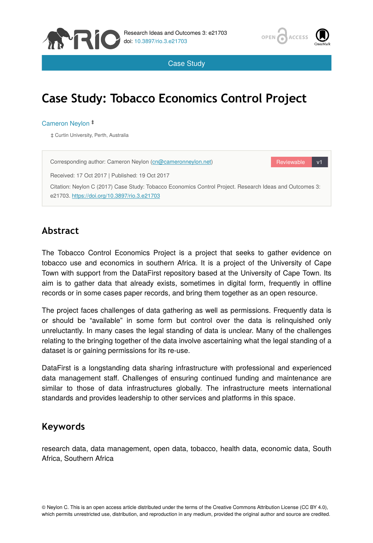



Case Study

# **Case Study: Tobacco Economics Control Project**

#### Cameron Neylon ‡

‡ Curtin University, Perth, Australia



#### **Abstract**

The Tobacco Control Economics Project is a project that seeks to gather evidence on tobacco use and economics in southern Africa. It is a project of the University of Cape Town with support from the DataFirst repository based at the University of Cape Town. Its aim is to gather data that already exists, sometimes in digital form, frequently in offline records or in some cases paper records, and bring them together as an open resource.

The project faces challenges of data gathering as well as permissions. Frequently data is or should be "available" in some form but control over the data is relinquished only unreluctantly. In many cases the legal standing of data is unclear. Many of the challenges relating to the bringing together of the data involve ascertaining what the legal standing of a dataset is or gaining permissions for its re-use.

DataFirst is a longstanding data sharing infrastructure with professional and experienced data management staff. Challenges of ensuring continued funding and maintenance are similar to those of data infrastructures globally. The infrastructure meets international standards and provides leadership to other services and platforms in this space.

#### **Keywords**

research data, data management, open data, tobacco, health data, economic data, South Africa, Southern Africa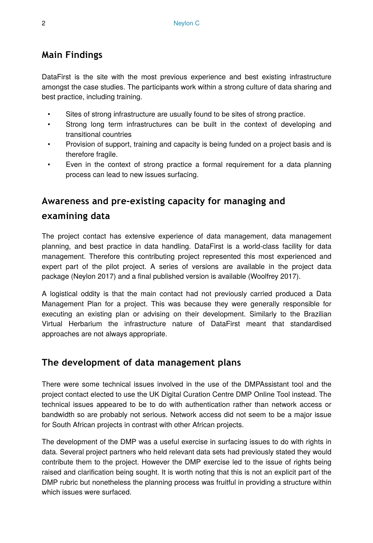#### **Main Findings**

DataFirst is the site with the most previous experience and best existing infrastructure amongst the case studies. The participants work within a strong culture of data sharing and best practice, including training.

- Sites of strong infrastructure are usually found to be sites of strong practice.
- Strong long term infrastructures can be built in the context of developing and transitional countries
- Provision of support, training and capacity is being funded on a project basis and is therefore fragile.
- Even in the context of strong practice a formal requirement for a data planning process can lead to new issues surfacing.

### **Awareness and pre-existing capacity for managing and**

#### **examining data**

The project contact has extensive experience of data management, data management planning, and best practice in data handling. DataFirst is a world-class facility for data management. Therefore this contributing project represented this most experienced and expert part of the pilot project. A series of versions are available in the project data package (Neylon 2017) and a final published version is available (Woolfrey 2017).

A logistical oddity is that the main contact had not previously carried produced a Data Management Plan for a project. This was because they were generally responsible for executing an existing plan or advising on their development. Similarly to the Brazilian Virtual Herbarium the infrastructure nature of DataFirst meant that standardised approaches are not always appropriate.

#### **The development of data management plans**

There were some technical issues involved in the use of the DMPAssistant tool and the project contact elected to use the UK Digital Curation Centre DMP Online Tool instead. The technical issues appeared to be to do with authentication rather than network access or bandwidth so are probably not serious. Network access did not seem to be a major issue for South African projects in contrast with other African projects.

The development of the DMP was a useful exercise in surfacing issues to do with rights in data. Several project partners who held relevant data sets had previously stated they would contribute them to the project. However the DMP exercise led to the issue of rights being raised and clarification being sought. It is worth noting that this is not an explicit part of the DMP rubric but nonetheless the planning process was fruitful in providing a structure within which issues were surfaced.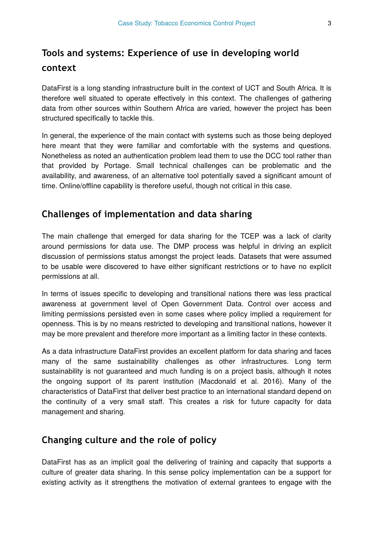## **Tools and systems: Experience of use in developing world context**

DataFirst is a long standing infrastructure built in the context of UCT and South Africa. It is therefore well situated to operate effectively in this context. The challenges of gathering data from other sources within Southern Africa are varied, however the project has been structured specifically to tackle this.

In general, the experience of the main contact with systems such as those being deployed here meant that they were familiar and comfortable with the systems and questions. Nonetheless as noted an authentication problem lead them to use the DCC tool rather than that provided by Portage. Small technical challenges can be problematic and the availability, and awareness, of an alternative tool potentially saved a significant amount of time. Online/offline capability is therefore useful, though not critical in this case.

#### **Challenges of implementation and data sharing**

The main challenge that emerged for data sharing for the TCEP was a lack of clarity around permissions for data use. The DMP process was helpful in driving an explicit discussion of permissions status amongst the project leads. Datasets that were assumed to be usable were discovered to have either significant restrictions or to have no explicit permissions at all.

In terms of issues specific to developing and transitional nations there was less practical awareness at government level of Open Government Data. Control over access and limiting permissions persisted even in some cases where policy implied a requirement for openness. This is by no means restricted to developing and transitional nations, however it may be more prevalent and therefore more important as a limiting factor in these contexts.

As a data infrastructure DataFirst provides an excellent platform for data sharing and faces many of the same sustainability challenges as other infrastructures. Long term sustainability is not guaranteed and much funding is on a project basis, although it notes the ongoing support of its parent institution (Macdonald et al. 2016). Many of the characteristics of DataFirst that deliver best practice to an international standard depend on the continuity of a very small staff. This creates a risk for future capacity for data management and sharing.

#### **Changing culture and the role of policy**

DataFirst has as an implicit goal the delivering of training and capacity that supports a culture of greater data sharing. In this sense policy implementation can be a support for existing activity as it strengthens the motivation of external grantees to engage with the